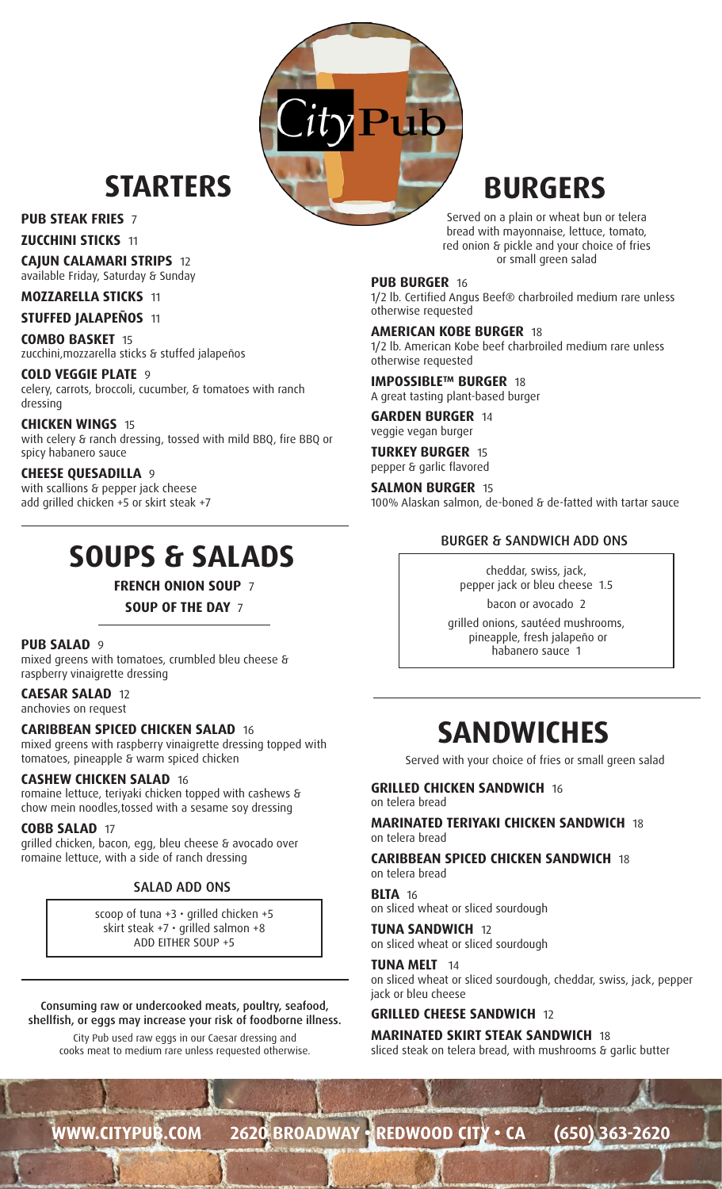## **STARTERS BURGERS**

### **PUB STEAK FRIES** 7

**ZUCCHINI STICKS** 11

**CAJUN CALAMARI STRIPS** 12

available Friday, Saturday & Sunday

### **MOZZARELLA STICKS** 11

**STUFFED JALAPEÑOS** 11

**COMBO BASKET** 15 zucchini,mozzarella sticks & stuffed jalapeños

#### **COLD VEGGIE PLATE** 9 celery, carrots, broccoli, cucumber, & tomatoes with ranch dressing

**CHICKEN WINGS** 15 with celery & ranch dressing, tossed with mild BBQ, fire BBQ or spicy habanero sauce

### **CHEESE QUESADILLA** 9

with scallions & pepper jack cheese add grilled chicken +5 or skirt steak +7

## **SOUPS & SALADS**

**FRENCH ONION SOUP** 7

**SOUP OF THE DAY** 7

### **PUB SALAD** 9

mixed greens with tomatoes, crumbled bleu cheese & raspberry vinaigrette dressing

**CAESAR SALAD** 12 anchovies on request

### **CARIBBEAN SPICED CHICKEN SALAD** 16

mixed greens with raspberry vinaigrette dressing topped with tomatoes, pineapple & warm spiced chicken

### **CASHEW CHICKEN SALAD** 16

romaine lettuce, teriyaki chicken topped with cashews & chow mein noodles,tossed with a sesame soy dressing

### **COBB SALAD** 17

grilled chicken, bacon, egg, bleu cheese & avocado over romaine lettuce, with a side of ranch dressing

### SALAD ADD ONS

scoop of tuna  $+3 \cdot$  grilled chicken  $+5$ skirt steak +7  $\cdot$  grilled salmon +8 ADD EITHER SOUP +5

Consuming raw or undercooked meats, poultry, seafood, shellfish, or eggs may increase your risk of foodborne illness.

City Pub used raw eggs in our Caesar dressing and cooks meat to medium rare unless requested otherwise.

Served on a plain or wheat bun or telera bread with mayonnaise, lettuce, tomato, red onion & pickle and your choice of fries or small green salad

### **PUB BURGER** 16

 $P$ ub

1/2 lb. Certified Angus Beef® charbroiled medium rare unless otherwise requested

### **AMERICAN KOBE BURGER** 18

1/2 lb. American Kobe beef charbroiled medium rare unless otherwise requested

**IMPOSSIBLE™ BURGER** 18 A great tasting plant-based burger

**GARDEN BURGER** 14 veggie vegan burger

**TURKEY BURGER** 15 pepper & garlic flavored

**SALMON BURGER** 15 100% Alaskan salmon, de-boned & de-fatted with tartar sauce

### BURGER & SANDWICH ADD ONS

cheddar, swiss, jack, pepper jack or bleu cheese 1.5

bacon or avocado 2 grilled onions, sautéed mushrooms, pineapple, fresh jalapeño or habanero sauce 1

## **SANDWICHES**

Served with your choice of fries or small green salad

**GRILLED CHICKEN SANDWICH** 16 on telera bread

### **MARINATED TERIYAKI CHICKEN SANDWICH** 18 on telera bread

### **CARIBBEAN SPICED CHICKEN SANDWICH** 18

on telera bread

**BLTA** 16 on sliced wheat or sliced sourdough

**TUNA SANDWICH** 12 on sliced wheat or sliced sourdough

### **TUNA MELT** 14

on sliced wheat or sliced sourdough, cheddar, swiss, jack, pepper jack or bleu cheese

### **GRILLED CHEESE SANDWICH** 12

**MARINATED SKIRT STEAK SANDWICH** 18

sliced steak on telera bread, with mushrooms & garlic butter

**WWW.CITYPUB.COM 2620 BROADWAY • REDWOOD CITY • CA (650) 363-2620**